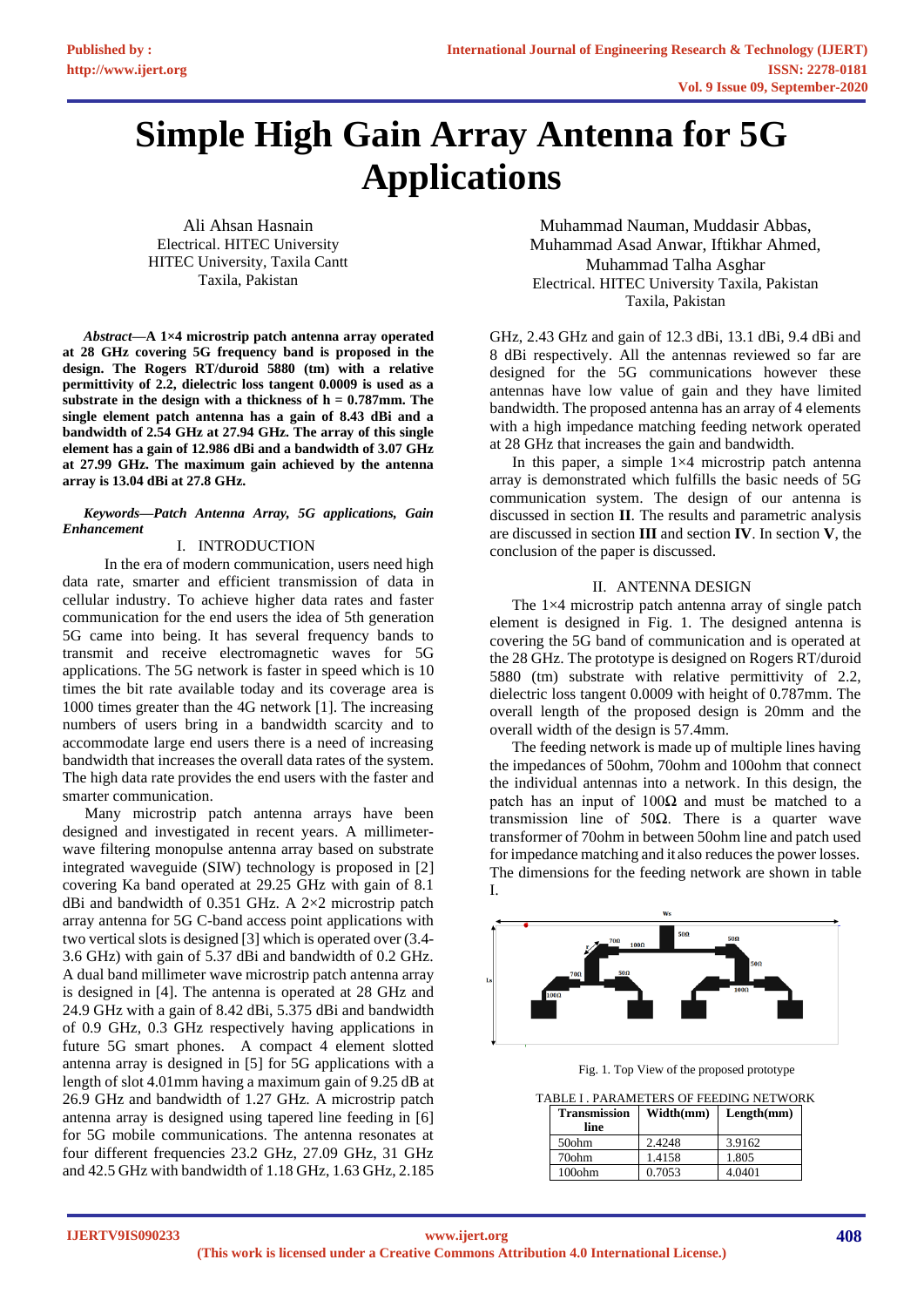# **Simple High Gain Array Antenna for 5G Applications**

Ali Ahsan Hasnain Electrical. HITEC University HITEC University, Taxila Cantt Taxila, Pakistan

*Abstract***—A 1×4 microstrip patch antenna array operated at 28 GHz covering 5G frequency band is proposed in the design. The Rogers RT/duroid 5880 (tm) with a relative permittivity of 2.2, dielectric loss tangent 0.0009 is used as a substrate in the design with a thickness of h = 0.787mm. The single element patch antenna has a gain of 8.43 dBi and a bandwidth of 2.54 GHz at 27.94 GHz. The array of this single element has a gain of 12.986 dBi and a bandwidth of 3.07 GHz at 27.99 GHz. The maximum gain achieved by the antenna array is 13.04 dBi at 27.8 GHz.**

#### *Keywords—Patch Antenna Array, 5G applications, Gain Enhancement*

# I. INTRODUCTION

 In the era of modern communication, users need high data rate, smarter and efficient transmission of data in cellular industry. To achieve higher data rates and faster communication for the end users the idea of 5th generation 5G came into being. It has several frequency bands to transmit and receive electromagnetic waves for 5G applications. The 5G network is faster in speed which is 10 times the bit rate available today and its coverage area is 1000 times greater than the 4G network [1]. The increasing numbers of users bring in a bandwidth scarcity and to accommodate large end users there is a need of increasing bandwidth that increases the overall data rates of the system. The high data rate provides the end users with the faster and smarter communication.

Many microstrip patch antenna arrays have been designed and investigated in recent years. A millimeterwave filtering monopulse antenna array based on substrate integrated waveguide (SIW) technology is proposed in [2] covering Ka band operated at 29.25 GHz with gain of 8.1 dBi and bandwidth of 0.351 GHz. A 2×2 microstrip patch array antenna for 5G C-band access point applications with two vertical slots is designed [3] which is operated over (3.4- 3.6 GHz) with gain of 5.37 dBi and bandwidth of 0.2 GHz. A dual band millimeter wave microstrip patch antenna array is designed in [4]. The antenna is operated at 28 GHz and 24.9 GHz with a gain of 8.42 dBi, 5.375 dBi and bandwidth of 0.9 GHz, 0.3 GHz respectively having applications in future 5G smart phones. A compact 4 element slotted antenna array is designed in [5] for 5G applications with a length of slot 4.01mm having a maximum gain of 9.25 dB at 26.9 GHz and bandwidth of 1.27 GHz. A microstrip patch antenna array is designed using tapered line feeding in [6] for 5G mobile communications. The antenna resonates at four different frequencies 23.2 GHz, 27.09 GHz, 31 GHz and 42.5 GHz with bandwidth of 1.18 GHz, 1.63 GHz, 2.185

Muhammad Nauman, Muddasir Abbas, Muhammad Asad Anwar, Iftikhar Ahmed, Muhammad Talha Asghar Electrical. HITEC University Taxila, Pakistan Taxila, Pakistan

GHz, 2.43 GHz and gain of 12.3 dBi, 13.1 dBi, 9.4 dBi and 8 dBi respectively. All the antennas reviewed so far are designed for the 5G communications however these antennas have low value of gain and they have limited bandwidth. The proposed antenna has an array of 4 elements with a high impedance matching feeding network operated at 28 GHz that increases the gain and bandwidth.

In this paper, a simple  $1\times4$  microstrip patch antenna array is demonstrated which fulfills the basic needs of 5G communication system. The design of our antenna is discussed in section **II**. The results and parametric analysis are discussed in section **III** and section **IV**. In section **V**, the conclusion of the paper is discussed.

## II. ANTENNA DESIGN

The 1×4 microstrip patch antenna array of single patch element is designed in Fig. 1. The designed antenna is covering the 5G band of communication and is operated at the 28 GHz. The prototype is designed on Rogers RT/duroid 5880 (tm) substrate with relative permittivity of 2.2, dielectric loss tangent 0.0009 with height of 0.787mm. The overall length of the proposed design is 20mm and the overall width of the design is 57.4mm.

The feeding network is made up of multiple lines having the impedances of 50ohm, 70ohm and 100ohm that connect the individual antennas into a network. In this design, the patch has an input of  $100\Omega$  and must be matched to a transmission line of 50Ω. There is a quarter wave transformer of 70ohm in between 50ohm line and patch used for impedance matching and it also reduces the power losses. The dimensions for the feeding network are shown in table I.



Fig. 1. Top View of the proposed prototype

TABLE I . PARAMETERS OF FEEDING NETWORK

| <b>Transmission</b><br>line | Width(mm) | Length(mm) |
|-----------------------------|-----------|------------|
| 50ohm                       | 2.4248    | 3.9162     |
| 70ohm                       | 1.4158    | 1.805      |
| $100$ ohm                   | 0.7053    | 4.0401     |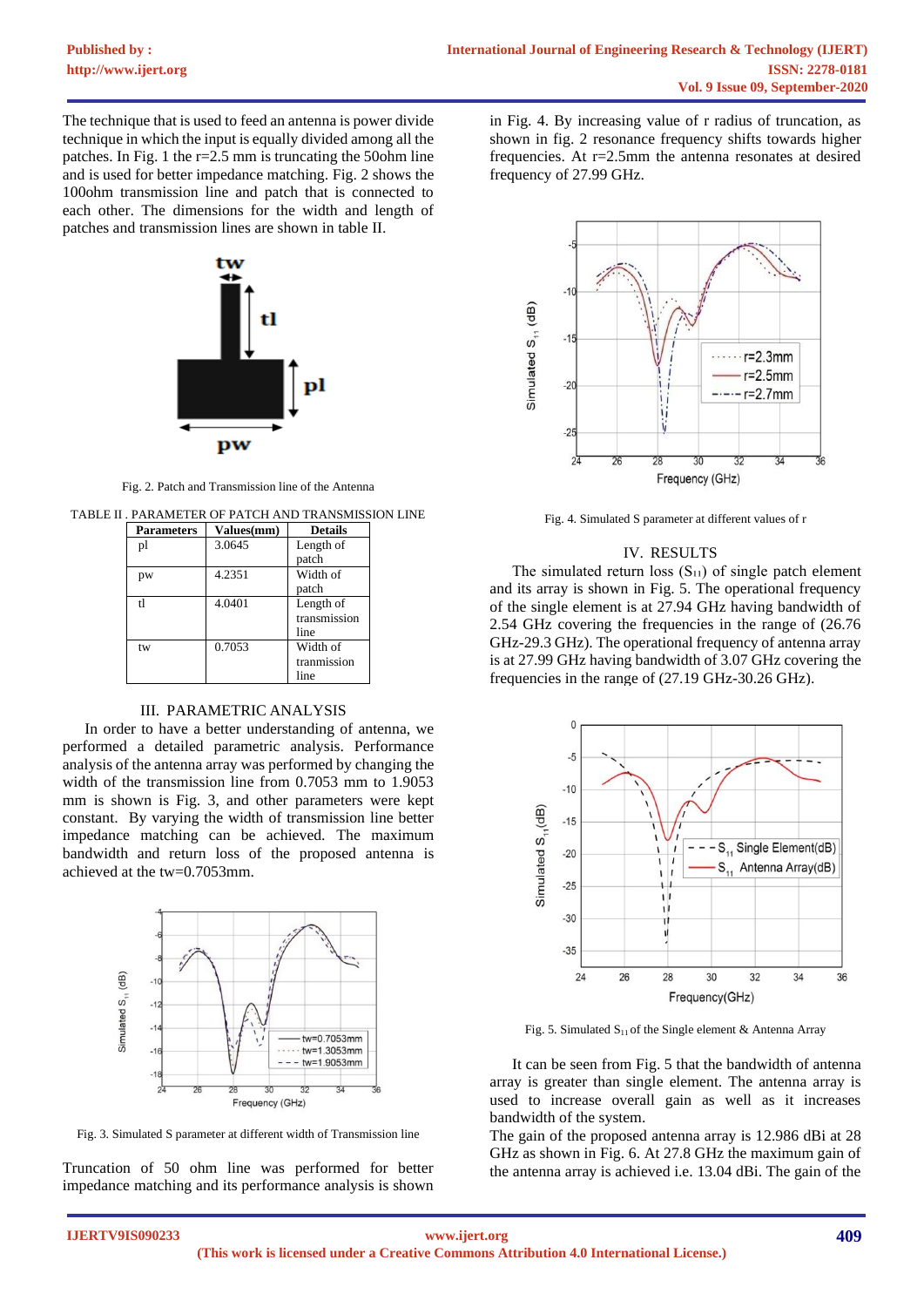The technique that is used to feed an antenna is power divide technique in which the input is equally divided among all the patches. In Fig. 1 the r=2.5 mm is truncating the 50ohm line and is used for better impedance matching. Fig. 2 shows the 100ohm transmission line and patch that is connected to each other. The dimensions for the width and length of patches and transmission lines are shown in table II.



Fig. 2. Patch and Transmission line of the Antenna

TABLE II . PARAMETER OF PATCH AND TRANSMISSION LINE

| <b>Parameters</b> | Values(mm) | <b>Details</b> |
|-------------------|------------|----------------|
| pl                | 3.0645     | Length of      |
|                   |            | patch          |
| pw                | 4.2351     | Width of       |
|                   |            | patch          |
| t1                | 4.0401     | Length of      |
|                   |            | transmission   |
|                   |            | line           |
| tw                | 0.7053     | Width of       |
|                   |            | tranmission    |
|                   |            | line           |

# III. PARAMETRIC ANALYSIS

In order to have a better understanding of antenna, we performed a detailed parametric analysis. Performance analysis of the antenna array was performed by changing the width of the transmission line from 0.7053 mm to 1.9053 mm is shown is Fig. 3, and other parameters were kept constant. By varying the width of transmission line better impedance matching can be achieved. The maximum bandwidth and return loss of the proposed antenna is achieved at the tw=0.7053mm.



Fig. 3. Simulated S parameter at different width of Transmission line

Truncation of 50 ohm line was performed for better impedance matching and its performance analysis is shown in Fig. 4. By increasing value of r radius of truncation, as shown in fig. 2 resonance frequency shifts towards higher frequencies. At r=2.5mm the antenna resonates at desired frequency of 27.99 GHz.



Fig. 4. Simulated S parameter at different values of r

## IV. RESULTS

The simulated return loss  $(S_{11})$  of single patch element and its array is shown in Fig. 5. The operational frequency of the single element is at 27.94 GHz having bandwidth of 2.54 GHz covering the frequencies in the range of (26.76 GHz-29.3 GHz). The operational frequency of antenna array is at 27.99 GHz having bandwidth of 3.07 GHz covering the frequencies in the range of (27.19 GHz-30.26 GHz).



Fig. 5. Simulated  $S<sub>11</sub>$  of the Single element & Antenna Array

It can be seen from Fig. 5 that the bandwidth of antenna array is greater than single element. The antenna array is used to increase overall gain as well as it increases bandwidth of the system.

The gain of the proposed antenna array is 12.986 dBi at 28 GHz as shown in Fig. 6. At 27.8 GHz the maximum gain of the antenna array is achieved i.e. 13.04 dBi. The gain of the